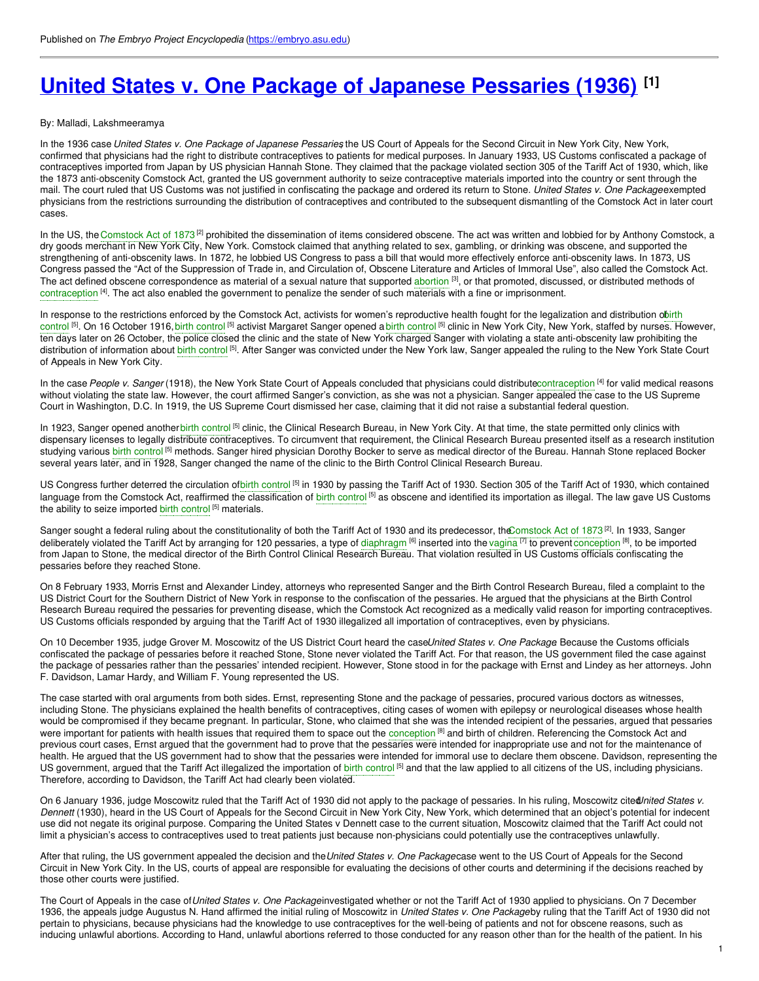# **United States v. One Package of Japanese [Pessaries](https://embryo.asu.edu/pages/united-states-v-one-package-japanese-pessaries-1936) (1936) [1]**

#### By: Malladi, Lakshmeeramya

In the 1936 case *United States v. One Package of Japanese Pessaries*, the US Court of Appeals for the Second Circuit in New York City, New York, confirmed that physicians had the right to distribute contraceptives to patients for medical purposes. In January 1933, US Customs confiscated a package of contraceptives imported from Japan by US physician Hannah Stone. They claimed that the package violated section 305 of the Tariff Act of 1930, which, like the 1873 anti-obscenity Comstock Act, granted the US government authority to seize contraceptive materials imported into the country or sent through the mail. The court ruled that US Customs was not justified in confiscating the package and ordered its return to Stone. *United States v. One Package*exempted physicians from the restrictions surrounding the distribution of contraceptives and contributed to the subsequent dismantling of the Comstock Act in later court cases.

In the US, the [Comstock](https://embryo.asu.edu/search?text=Comstock%20Act%20of%201873) Act of 1873<sup>[2]</sup> prohibited the dissemination of items considered obscene. The act was written and lobbied for by Anthony Comstock, a dry goods merchant in New York City, New York. Comstock claimed that anything related to sex, gambling, or drinking was obscene, and supported the strengthening of anti-obscenity laws. In 1872, he lobbied US Congress to pass a bill that would more effectively enforce anti-obscenity laws. In 1873, US Congress passed the "Act of the Suppression of Trade in, and Circulation of, Obscene Literature and Articles of Immoral Use", also called the Comstock Act. The act defined obscene correspondence as material of a sexual nature that supported [abortion](https://embryo.asu.edu/search?text=abortion) <sup>[3]</sup>, or that promoted, discussed, or distributed methods of [contraception](https://embryo.asu.edu/search?text=contraception) <sup>[4]</sup>. The act also enabled the government to penalize the sender of such materials with a fine or imprisonment.

In response to the restrictions enforced by the Comstock Act, activists for women's [reproductive](https://embryo.asu.edu/search?text=birth%20control) health fought for the legalization and distribution obirth [control](https://embryo.asu.edu/search?text=birth%20control) <sup>[5]</sup>. On 16 October 1916,birth control <sup>[5]</sup> activist Margaret Sanger opened a birth control <sup>[5]</sup> clinic in New York City, New York, staffed by nurses. However, ten days later on 26 October, the police closed the clinic and the state of New York charged Sanger with violating a state anti-obscenity law prohibiting the distribution of information about <mark>birth [contro](https://embryo.asu.edu/search?text=birth%20control)l <sup>[5]</sup>. A</mark>fter Sanger was convicted under the New York law, Sanger appealed the ruling to the New York State Court of Appeals in New York City.

In the case *People v. Sanger* (1918), the New York State Court of Appeals concluded that physicians could distribut[econtraception](https://embryo.asu.edu/search?text=contraception) [4] for valid medical reasons without violating the state law. However, the court affirmed Sanger's conviction, as she was not a physician. Sanger appealed the case to the US Supreme Court in Washington, D.C. In 1919, the US Supreme Court dismissed her case, claiming that it did not raise a substantial federal question.

In 1923, Sanger opened anotherbirth [control](https://embryo.asu.edu/search?text=birth%20control)<sup>[5]</sup> clinic, the Clinical Research Bureau, in New York City. At that time, the state permitted only clinics with dispensary licenses to legally distribute contraceptives. To circumvent that requirement, the Clinical Research Bureau presented itself as a research institution studying various birth [control](https://embryo.asu.edu/search?text=birth%20control) <sup>[5]</sup> methods. Sanger hired physician Dorothy Bocker to serve as medical director of the Bureau. Hannah Stone replaced Bocker several years later, and in 1928, Sanger changed the name of the clinic to the Birth Control Clinical Research Bureau.

US Congress further deterred the circulation ofbirth [control](https://embryo.asu.edu/search?text=birth%20control) <sup>[5]</sup> in 1930 by passing the Tariff Act of 1930. Section 305 of the Tariff Act of 1930, which contained language from the Comstock Act, reaffirmed the classification of b<mark>irth [control](https://embryo.asu.edu/search?text=birth%20control) [5]</mark> as obscene and identified its importation as illegal. The law gave US Customs the ability to seize imported birth [control](https://embryo.asu.edu/search?text=birth%20control) [5] materials.

Sanger sought a federal ruling about the constitutionality of both the Tariff Act of 1930 and its predecessor, th[eComstock](https://embryo.asu.edu/search?text=Comstock%20Act%20of%201873) Act of 1873<sup>[2]</sup>. In 1933, Sanger deliberately violated the Tariff Act by arranging for 120 pessaries, a type of [diaphragm](https://embryo.asu.edu/search?text=diaphragm) <sup>[6]</sup> inserted into the [vagina](https://embryo.asu.edu/search?text=vagina) <sup>[7]</sup> to prevent [conception](https://embryo.asu.edu/search?text=conception) <sup>[8]</sup>, to be imported from Japan to Stone, the medical director of the Birth Control Clinical Research Bureau. That violation resulted in US Customs officials confiscating the pessaries before they reached Stone.

On 8 February 1933, Morris Ernst and Alexander Lindey, attorneys who represented Sanger and the Birth Control Research Bureau, filed a complaint to the US District Court for the Southern District of New York in response to the confiscation of the pessaries. He argued that the physicians at the Birth Control Research Bureau required the pessaries for preventing disease, which the Comstock Act recognized as a medically valid reason for importing contraceptives. US Customs officials responded by arguing that the Tariff Act of 1930 illegalized all importation of contraceptives, even by physicians.

On 10 December 1935, judge Grover M. Moscowitz of the US District Court heard the case*United States v. One Package*. Because the Customs officials confiscated the package of pessaries before it reached Stone, Stone never violated the Tariff Act. For that reason, the US government filed the case against the package of pessaries rather than the pessaries' intended recipient. However, Stone stood in for the package with Ernst and Lindey as her attorneys. John F. Davidson, Lamar Hardy, and William F. Young represented the US.

The case started with oral arguments from both sides. Ernst, representing Stone and the package of pessaries, procured various doctors as witnesses, including Stone. The physicians explained the health benefits of contraceptives, citing cases of women with epilepsy or neurological diseases whose health would be compromised if they became pregnant. In particular, Stone, who claimed that she was the intended recipient of the pessaries, argued that pessaries were important for patients with health issues that required them to space out the [conception](https://embryo.asu.edu/search?text=conception) <sup>[8]</sup> and birth of children. Referencing the Comstock Act and previous court cases, Ernst argued that the government had to prove that the pessaries were intended for inappropriate use and not for the maintenance of health. He argued that the US government had to show that the pessaries were intended for immoral use to declare them obscene. Davidson, representing the US government, argued that the Tariff Act illegalized the importation of birth [control](https://embryo.asu.edu/search?text=birth%20control) <sup>[5]</sup> and that the law applied to all citizens of the US, including physicians. Therefore, according to Davidson, the Tariff Act had clearly been violated.

On 6 January 1936, judge Moscowitz ruled that the Tariff Act of 1930 did not apply to the package of pessaries. In his ruling, Moscowitz cited*United States v. Dennett* (1930), heard in the US Court of Appeals for the Second Circuit in New York City, New York, which determined that an object's potential for indecent use did not negate its original purpose. Comparing the United States v Dennett case to the current situation, Moscowitz claimed that the Tariff Act could not limit a physician's access to contraceptives used to treat patients just because non-physicians could potentially use the contraceptives unlawfully.

After that ruling, the US government appealed the decision and the*United States v. One Package*case went to the US Court of Appeals for the Second Circuit in New York City. In the US, courts of appeal are responsible for evaluating the decisions of other courts and determining if the decisions reached by those other courts were justified.

The Court of Appeals in the case of*United States v. One Package*investigated whether or not the Tariff Act of 1930 applied to physicians. On 7 December 1936, the appeals judge Augustus N. Hand affirmed the initial ruling of Moscowitz in *United States v. One Package*by ruling that the Tariff Act of 1930 did not pertain to physicians, because physicians had the knowledge to use contraceptives for the well-being of patients and not for obscene reasons, such as inducing unlawful abortions. According to Hand, unlawful abortions referred to those conducted for any reason other than for the health of the patient. In his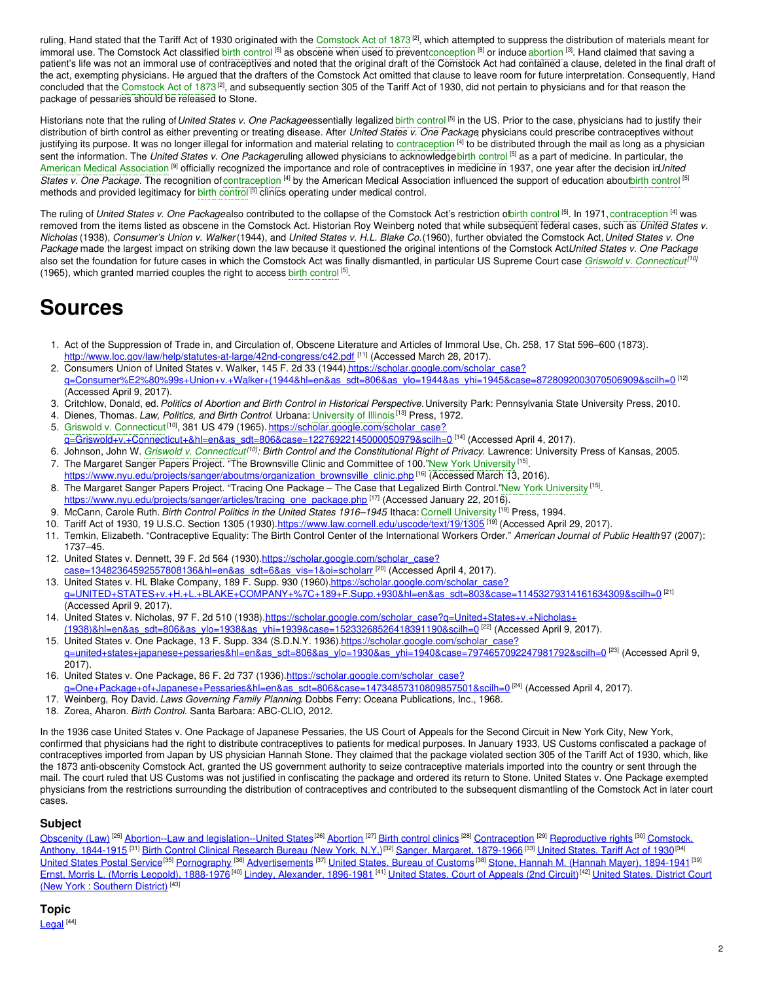ruling, Hand stated that the Tariff Act of 1930 originated with the [Comstock](https://embryo.asu.edu/search?text=Comstock%20Act%20of%201873) Act of 1873<sup>[2]</sup>, which attempted to suppress the distribution of materials meant for immoral use. The Comstock Act classified birth [contro](https://embryo.asu.edu/search?text=birth%20control)l <sup>[5]</sup> as obscene when used to prevent[conception](https://embryo.asu.edu/search?text=conception) <sup>[8]</sup> or induce [abortion](https://embryo.asu.edu/search?text=abortion) <sup>[3]</sup>. Hand claimed that saving a patient's life was not an immoral use of contraceptives and noted that the original draft of the Comstock Act had contained a clause, deleted in the final draft of the act, exempting physicians. He argued that the drafters of the Comstock Act omitted that clause to leave room for future interpretation. Consequently, Hand concluded that the [Comstock](https://embryo.asu.edu/search?text=Comstock%20Act%20of%201873) Act of 1873<sup>[2]</sup>, and subsequently section 305 of the Tariff Act of 1930, did not pertain to physicians and for that reason the package of pessaries should be released to Stone.

Historians note that the ruling of*United States v. One Package*essentially legalized birth [contro](https://embryo.asu.edu/search?text=birth%20control)l [5] in the US. Prior to the case, physicians had to justify their distribution of birth control as either preventing or treating disease. After *United States v. One Package*, physicians could prescribe contraceptives without justifying its purpose. It was no longer illegal for information and material relating to [contraception](https://embryo.asu.edu/search?text=contraception) <sup>[4]</sup> to be distributed through the mail as long as a physician sent the information. The *United States v. One Package*ruling allowed physicians to acknowledgebirth [control](https://embryo.asu.edu/search?text=birth%20control) [5] as a part of medicine. In particular, the American Medical [Association](https://embryo.asu.edu/search?text=American%20Medical%20Association)<sup>[9]</sup> officially recognized the importance and role of contraceptives in medicine in 1937, one year after the decision ir*United* States v. One Package. The recognition of [contraception](https://embryo.asu.edu/search?text=contraception) <sup>[4]</sup> by the American Medical Association influenced the support of education aboutbirth [control](https://embryo.asu.edu/search?text=birth%20control) [5] methods and provided legitimacy for birth [control](https://embryo.asu.edu/search?text=birth%20control)<sup>[5]</sup> clinics operating under medical control.

The ruling of *United States v. One Package*also contributed to the collapse of the Comstock Act's restriction ofbirth [control](https://embryo.asu.edu/search?text=birth%20control) <sup>[5]</sup>. In 1971, [contraception](https://embryo.asu.edu/search?text=contraception) <sup>[4]</sup> was removed from the items listed as obscene in the Comstock Act. Historian Roy Weinberg noted that while subsequent federal cases, such as *United States v.* Nicholas (1938), Consumer's Union v. Walker (1944), and United States v. H.L. Blake Co. (1960), further obviated the Comstock Act, United States v. One *Package* made the largest impact on striking down the law because it questioned the original intentions of the Comstock Act. *nited States v. One Package* also set the foundation for future cases in which the Comstock Act was finally dismantled, in particular US Supreme Court case *Griswold v. [Connecticut](https://embryo.asu.edu/search?text=Griswold%20v.%20Connecticut) [10]* (1965), which granted married couples the right to access birth [control](https://embryo.asu.edu/search?text=birth%20control) [5].

## **Sources**

- 1. Act of the Suppression of Trade in, and Circulation of, Obscene Literature and Articles of Immoral Use, Ch. 258, 17 Stat 596–600 (1873). <http://www.loc.gov/law/help/statutes-at-large/42nd-congress/c42.pdf> <sup>[11]</sup> (Accessed March 28, 2017).
- 2. Consumers Union of United States v. Walker, 145 F. 2d 33 (1944).https://scholar.google.com/scholar\_case? [q=Consumer%E2%80%99s+Union+v.+Walker+\(1944&hl=en&as\\_sdt=806&as\\_ylo=1944&as\\_yhi=1945&case=8728092003070506909&scilh=0](https://scholar.google.com/scholar_case?q=Consumer%25E2%2580%2599s+Union+v.+Walker+(1944&hl=en&as_sdt=806&as_ylo=1944&as_yhi=1945&case=8728092003070506909&scilh=0) [12] (Accessed April 9, 2017).
- 3. Critchlow, Donald, ed. *Politics of Abortion and Birth Control in Historical Perspective.*University Park: Pennsylvania State University Press, 2010.
- 4. Dienes, Thomas. *Law, Politics, and Birth Control*. Urbana: [University](https://embryo.asu.edu/search?text=University%20of%20Illinois) of Illinois [13] Press, 1972.
- 5. Griswold v. [Connecticut](https://embryo.asu.edu/search?text=Griswold%20v.%20Connecticut)<sup>[10]</sup>, 381 US 479 (1965). https://scholar.google.com/scholar\_case? [q=Griswold+v.+Connecticut+&hl=en&as\\_sdt=806&case=12276922145000050979&scilh=0](https://scholar.google.com/scholar_case?q=Griswold+v.+Connecticut+&hl=en&as_sdt=806&case=12276922145000050979&scilh=0) [14] (Accessed April 4, 2017).
- 6. Johnson, John W. Griswold v. [Connecticu](https://embryo.asu.edu/search?text=Griswold%20v.%20Connecticut)t<sup>[10]</sup>: Birth Control and the Constitutional Right of Privacy. Lawrence: University Press of Kansas, 2005.
- 7. The Margaret Sanger Papers Project. "The Brownsville Clinic and Committee of 100."New York [University](https://embryo.asu.edu/search?text=New%20York%20University) <sup>[15]</sup>. [https://www.nyu.edu/projects/sanger/aboutms/organization\\_brownsville\\_clinic.php](https://www.nyu.edu/projects/sanger/aboutms/organization_brownsville_clinic.php)<sup>[16]</sup> (Accessed March 13, 2016).
- 8. The Margaret Sanger Papers Project. "Tracing One Package The Case that Legalized Birth Control."New York [University](https://embryo.asu.edu/search?text=New%20York%20University) <sup>[15]</sup>. [https://www.nyu.edu/projects/sanger/articles/tracing\\_one\\_package.php](https://www.nyu.edu/projects/sanger/articles/tracing_one_package.php)<sup>[17]</sup> (Accessed January 22, 2016).
- 9. McCann, Carole Ruth. *Birth Control Politics in the United States 1916–1945*. Ithaca: Cornell [University](https://embryo.asu.edu/search?text=Cornell%20University) [18] Press, 1994.
- 10. Tariff Act of 1930, 19 U.S.C. Section 1305 (1930).<https://www.law.cornell.edu/uscode/text/19/1305> <sup>[19]</sup> (Accessed April 29, 2017).
- 11. Temkin, Elizabeth. "Contraceptive Equality: The Birth Control Center of the International Workers Order." *American Journal of Public Health* 97 (2007): 1737–45.
- 12. United States v. Dennett, 39 F. 2d 564 (1930). https://scholar.google.com/scholar\_case? <u>[case=13482364592557808136&hl=en&as\\_sdt=6&as\\_vis=1&oi=scholarr](https://scholar.google.com/scholar_case?case=13482364592557808136&hl=en&as_sdt=6&as_vis=1&oi=scholarr)</u> <sup>[20]</sup> (Accessed April 4, 2017).
- 13. United States v. HL Blake Company, 189 F. Supp. 930 (1960).https://scholar.google.com/scholar\_case? [q=UNITED+STATES+v.+H.+L.+BLAKE+COMPANY+%7C+189+F.Supp.+930&hl=en&as\\_sdt=803&case=11453279314161634309&scilh=0](https://scholar.google.com/scholar_case?q=UNITED+STATES+v.+H.+L.+BLAKE+COMPANY+%257C+189+F.Supp.+930&hl=en&as_sdt=803&case=11453279314161634309&scilh=0) [21] (Accessed April 9, 2017).
- 14. United States v. Nicholas, 97 F. 2d 510 (1938).https://scholar.google.com/scholar\_case?q=United+States+v.+Nicholas+ <u>[\(1938\)&hl=en&as\\_sdt=806&as\\_ylo=1938&as\\_yhi=1939&case=15233268526418391190&scilh=0](https://scholar.google.com/scholar_case?q=United+States+v.+Nicholas+(1938)&hl=en&as_sdt=806&as_ylo=1938&as_yhi=1939&case=15233268526418391190&scilh=0)</u> <sup>[22]</sup> (Accessed April 9, 2017).
- 15. United States v. One Package, 13 F. Supp. 334 (S.D.N.Y. 1936).https://scholar.google.com/scholar\_case? [q=united+states+japanese+pessaries&hl=en&as\\_sdt=806&as\\_ylo=1930&as\\_yhi=1940&case=7974657092247981792&scilh=0](https://scholar.google.com/scholar_case?q=united+states+japanese+pessaries&hl=en&as_sdt=806&as_ylo=1930&as_yhi=1940&case=7974657092247981792&scilh=0) [23] (Accessed April 9, 2017).
- 16. United States v. One Package, 86 F. 2d 737 (1936).https://scholar.google.com/scholar\_case? q=<u>One+Package+of+Japanese+Pessaries&hl=en&as\_sdt=806&case=14734857310809857501&scilh=0</u> <sup>[24]</sup> (Accessed April 4, 2017).
- 17. Weinberg, Roy David. *Laws Governing Family Planning*. Dobbs Ferry: Oceana Publications, Inc., 1968.
- 18. Zorea, Aharon. *Birth Control*. Santa Barbara: ABC-CLIO, 2012.

In the 1936 case United States v. One Package of Japanese Pessaries, the US Court of Appeals for the Second Circuit in New York City, New York, confirmed that physicians had the right to distribute contraceptives to patients for medical purposes. In January 1933, US Customs confiscated a package of contraceptives imported from Japan by US physician Hannah Stone. They claimed that the package violated section 305 of the Tariff Act of 1930, which, like the 1873 anti-obscenity Comstock Act, granted the US government authority to seize contraceptive materials imported into the country or sent through the mail. The court ruled that US Customs was not justified in confiscating the package and ordered its return to Stone. United States v. One Package exempted physicians from the restrictions surrounding the distribution of contraceptives and contributed to the subsequent dismantling of the Comstock Act in later court cases.

### **Subject**

[Obscenity](https://embryo.asu.edu/library-congress-subject-headings/obscenity-law) (Law) <sup>[25]</sup> Abortion--Law and [legislation--United](https://embryo.asu.edu/library-congress-subject-headings/abortion-law-and-legislation-united-states) States<sup>[26]</sup> [Abortion](https://embryo.asu.edu/library-congress-subject-headings/abortion) <sup>[27]</sup> Birth [control](https://embryo.asu.edu/library-congress-subject-headings/birth-control-clinics) clinics <sup>[28]</sup> [Contraception](https://embryo.asu.edu/library-congress-subject-headings/contraception) <sup>[29]</sup> [Reproductive](https://embryo.asu.edu/library-congress-subject-headings/reproductive-rights) rights <sup>[30]</sup> Comstock, Anthony, 1844-1915 <sup>[31]</sup> Birth Control Clinical [Research](https://embryo.asu.edu/library-congress-subject-headings/birth-control-clinical-research-bureau-new-york-ny) Bureau (New York, N.Y.)<sup>[32]</sup> Sanger, Margaret, [1879-1966](https://embryo.asu.edu/library-congress-subject-headings/sanger-margaret-1879-1966) <sup>[33]</sup> United [States.](https://embryo.asu.edu/library-congress-subject-headings/united-states-tariff-act-1930) Tariff Act of 1930<sup>[34]</sup> United States Postal [Service](https://embryo.asu.edu/library-congress-subject-headings/united-states-postal-service)<sup>(35]</sup> [Pornography](https://embryo.asu.edu/library-congress-subject-headings/pornography) <sup>[36]</sup> [Advertisements](https://embryo.asu.edu/library-congress-subject-headings/advertisements) <sup>[37]</sup> United States. Bureau of [Customs](https://embryo.asu.edu/library-congress-subject-headings/united-states-bureau-customs) <sup>[38]</sup> Stone, Hannah M. (Hannah Mayer), [1894-1941](https://embryo.asu.edu/library-congress-subject-headings/stone-hannah-m-hannah-mayer-1894-1941) <sup>[39]</sup> Ernst, Morris L. (Morris Leopold), [1888-1976](https://embryo.asu.edu/library-congress-subject-headings/ernst-morris-l-morris-leopold-1888-1976)<sup>[40]</sup> Lindey, [Alexander,](https://embryo.asu.edu/library-congress-subject-headings/lindey-alexander-1896-1981) 1896-1981<sup>[41]</sup> United States. Court of [Appeals](https://embryo.asu.edu/library-congress-subject-headings/united-states-court-appeals-2nd-circuit) (2nd Circuit)<sup>[42]</sup> United States. District Court (New York: Southern District)<sup>[43]</sup>

## **Topic**

[Legal](https://embryo.asu.edu/topics/legal) <sup>[44]</sup>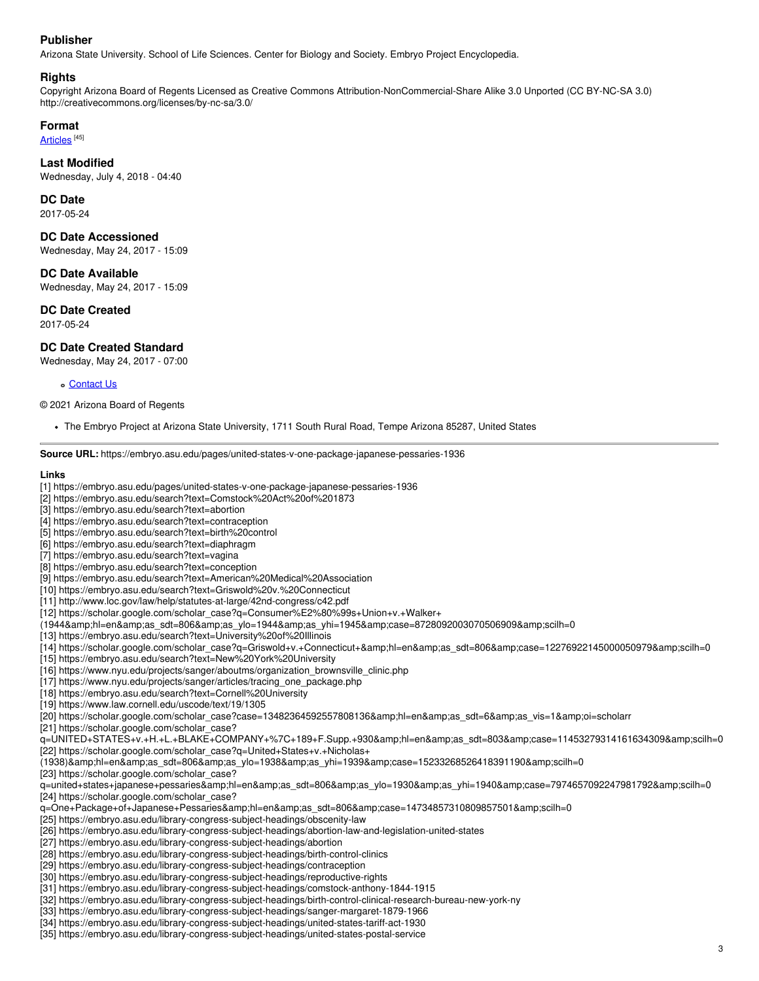#### **Publisher**

Arizona State University. School of Life Sciences. Center for Biology and Society. Embryo Project Encyclopedia.

#### **Rights**

Copyright Arizona Board of Regents Licensed as Creative Commons Attribution-NonCommercial-Share Alike 3.0 Unported (CC BY-NC-SA 3.0) http://creativecommons.org/licenses/by-nc-sa/3.0/

#### **Format**

[Articles](https://embryo.asu.edu/formats/articles) <sup>[45]</sup>

#### **Last Modified**

Wednesday, July 4, 2018 - 04:40

#### **DC Date**

2017-05-24

**DC Date Accessioned** Wednesday, May 24, 2017 - 15:09

**DC Date Available** Wednesday, May 24, 2017 - 15:09

**DC Date Created**

2017-05-24

## **DC Date Created Standard**

Wednesday, May 24, 2017 - 07:00

#### [Contact](https://embryo.asu.edu/contact) Us

© 2021 Arizona Board of Regents

The Embryo Project at Arizona State University, 1711 South Rural Road, Tempe Arizona 85287, United States

**Source URL:** https://embryo.asu.edu/pages/united-states-v-one-package-japanese-pessaries-1936

#### **Links**

- [1] https://embryo.asu.edu/pages/united-states-v-one-package-japanese-pessaries-1936
- [2] https://embryo.asu.edu/search?text=Comstock%20Act%20of%201873
- [3] https://embryo.asu.edu/search?text=abortion
- [4] https://embryo.asu.edu/search?text=contraception
- [5] https://embryo.asu.edu/search?text=birth%20control
- [6] https://embryo.asu.edu/search?text=diaphragm
- [7] https://embryo.asu.edu/search?text=vagina
- [8] https://embryo.asu.edu/search?text=conception
- [9] https://embryo.asu.edu/search?text=American%20Medical%20Association
- [10] https://embryo.asu.edu/search?text=Griswold%20v.%20Connecticut
- [11] http://www.loc.gov/law/help/statutes-at-large/42nd-congress/c42.pdf
- [12] https://scholar.google.com/scholar\_case?q=Consumer%E2%80%99s+Union+v.+Walker+
- $(1944&1=en&1=806&1=816&1=1944&1=1945&1=28092003070506909&1=0$
- [13] https://embryo.asu.edu/search?text=University%20of%20Illinois
- [14] https://scholar.google.com/scholar\_case?q=Griswold+v.+Connecticut+&hl=en&as\_sdt=806&case=12276922145000050979&scilh=0
- [15] https://embryo.asu.edu/search?text=New%20York%20University
- [16] https://www.nyu.edu/projects/sanger/aboutms/organization\_brownsville\_clinic.php
- [17] https://www.nyu.edu/projects/sanger/articles/tracing\_one\_package.php
- [18] https://embryo.asu.edu/search?text=Cornell%20University
- [19] https://www.law.cornell.edu/uscode/text/19/1305
- [20] https://scholar.google.com/scholar\_case?case=13482364592557808136&hl=en&as\_sdt=6&as\_vis=1&oi=scholarr
- [21] https://scholar.google.com/scholar\_case?
- g=UNITED+STATES+v.+H.+L.+BLAKE+COMPANY+%7C+189+F.Supp.+930&amp:hl=en&amp:as\_sdt=803&amp:case=11453279314161634309&amp:scilh=0
- [22] https://scholar.google.com/scholar\_case?q=United+States+v.+Nicholas+
- $(1938)$ &hl=en&as\_sdt=806&as\_ylo=1938&as\_yhi=1939&case=15233268526418391190&scilh=0
- [23] https://scholar.google.com/scholar\_case?
- .<br>q=united+states+japanese+pessaries&amp;hl=en&amp;as\_sdt=806&amp;as\_ylo=1930&amp;as\_yhi=1940&amp;case=7974657092247981792&amp;scilh=0 [24] https://scholar.google.com/scholar\_case?
- .<br>q=One+Package+of+Japanese+Pessaries&amp;hl=en&amp;as\_sdt=806&amp;case=14734857310809857501&amp;scilh=0
- [25] https://embryo.asu.edu/library-congress-subject-headings/obscenity-law
- [26] https://embryo.asu.edu/library-congress-subject-headings/abortion-law-and-legislation-united-states
- [27] https://embryo.asu.edu/library-congress-subject-headings/abortion
- [28] https://embryo.asu.edu/library-congress-subject-headings/birth-control-clinics
- [29] https://embryo.asu.edu/library-congress-subject-headings/contraception
- [30] https://embryo.asu.edu/library-congress-subject-headings/reproductive-rights
- [31] https://embryo.asu.edu/library-congress-subject-headings/comstock-anthony-1844-1915
- [32] https://embryo.asu.edu/library-congress-subject-headings/birth-control-clinical-research-bureau-new-york-ny
- [33] https://embryo.asu.edu/library-congress-subject-headings/sanger-margaret-1879-1966
- [34] https://embryo.asu.edu/library-congress-subject-headings/united-states-tariff-act-1930
- [35] https://embryo.asu.edu/library-congress-subject-headings/united-states-postal-service